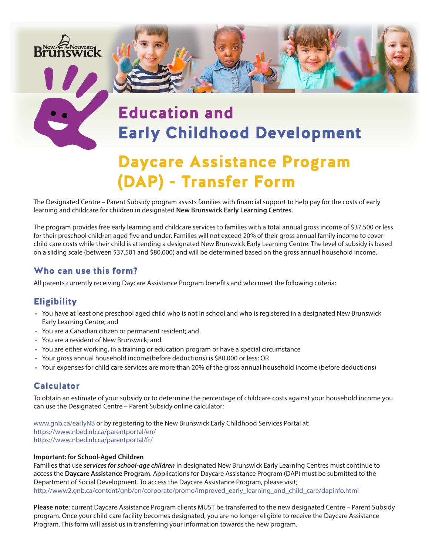

# Education and Early Childhood Development

# Daycare Assistance Program (DAP) - Transfer Form

The Designated Centre – Parent Subsidy program assists families with financial support to help pay for the costs of early learning and childcare for children in designated **New Brunswick Early Learning Centres**.

The program provides free early learning and childcare services to families with a total annual gross income of \$37,500 or less for their preschool children aged five and under. Families will not exceed 20% of their gross annual family income to cover child care costs while their child is attending a designated New Brunswick Early Learning Centre. The level of subsidy is based on a sliding scale (between \$37,501 and \$80,000) and will be determined based on the gross annual household income.

### Who can use this form?

All parents currently receiving Daycare Assistance Program benefits and who meet the following criteria:

# **Eligibility**

- You have at least one preschool aged child who is not in school and who is registered in a designated New Brunswick Early Learning Centre; and
- You are a Canadian citizen or permanent resident; and
- You are a resident of New Brunswick; and
- You are either working, in a training or education program or have a special circumstance
- Your gross annual household income(before deductions) is \$80,000 or less; OR
- Your expenses for child care services are more than 20% of the gross annual household income (before deductions)

### Calculator

To obtain an estimate of your subsidy or to determine the percentage of childcare costs against your household income you can use the Designated Centre – Parent Subsidy online calculator:

[www.gnb.ca/earlyNB](http://www.gnb.ca/earlyNB) or by registering to the New Brunswick Early Childhood Services Portal at: <https://www.nbed.nb.ca/parentportal/en/> <https://www.nbed.nb.ca/parentportal/fr/>

#### **Important: for School-Aged Children**

Families that use *services for school-age children* in designated New Brunswick Early Learning Centres must continue to access the **Daycare Assistance Program**. Applications for Daycare Assistance Program (DAP) must be submitted to the Department of Social Development. To access the Daycare Assistance Program, please visit; [http://www2.gnb.ca/content/gnb/en/corporate/promo/improved\\_early\\_learning\\_and\\_child\\_care/dapinfo.html](https://www2.gnb.ca/content/gnb/en/corporate/promo/improved_early_learning_and_child_care/dap_info.html)

**Please note**: current Daycare Assistance Program clients MUST be transferred to the new designated Centre – Parent Subsidy program. Once your child care facility becomes designated, you are no longer eligible to receive the Daycare Assistance Program. This form will assist us in transferring your information towards the new program.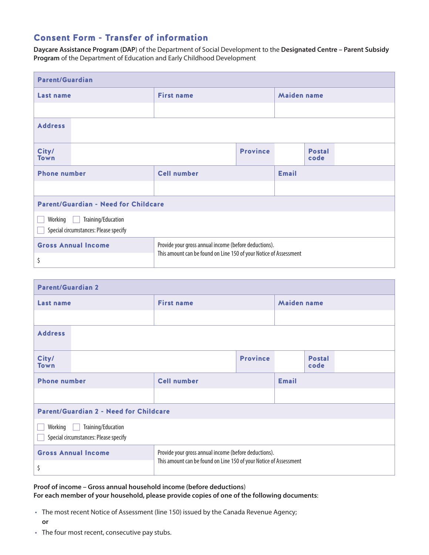# Consent Form - Transfer of information

**Daycare Assistance Program (DAP**) of the Department of Social Development to the **Designated Centre – Parent Subsidy Program** of the Department of Education and Early Childhood Development

| <b>Parent/Guardian</b>                                                 |                                                                                                                            |                 |                    |                       |  |
|------------------------------------------------------------------------|----------------------------------------------------------------------------------------------------------------------------|-----------------|--------------------|-----------------------|--|
| Last name                                                              | <b>First name</b>                                                                                                          |                 | <b>Maiden name</b> |                       |  |
|                                                                        |                                                                                                                            |                 |                    |                       |  |
| <b>Address</b>                                                         |                                                                                                                            |                 |                    |                       |  |
| City/<br><b>Town</b>                                                   |                                                                                                                            | <b>Province</b> |                    | <b>Postal</b><br>code |  |
| <b>Phone number</b>                                                    | <b>Cell number</b>                                                                                                         |                 | <b>Email</b>       |                       |  |
|                                                                        |                                                                                                                            |                 |                    |                       |  |
| <b>Parent/Guardian - Need for Childcare</b>                            |                                                                                                                            |                 |                    |                       |  |
| Training/Education<br>Working<br>Special circumstances: Please specify |                                                                                                                            |                 |                    |                       |  |
| <b>Gross Annual Income</b>                                             | Provide your gross annual income (before deductions).<br>This amount can be found on Line 150 of your Notice of Assessment |                 |                    |                       |  |
| \$                                                                     |                                                                                                                            |                 |                    |                       |  |

| <b>Parent/Guardian 2</b>                                               |                                                                                                                            |                 |                    |                       |
|------------------------------------------------------------------------|----------------------------------------------------------------------------------------------------------------------------|-----------------|--------------------|-----------------------|
| <b>Last name</b>                                                       | <b>First name</b>                                                                                                          |                 | <b>Maiden name</b> |                       |
|                                                                        |                                                                                                                            |                 |                    |                       |
| <b>Address</b>                                                         |                                                                                                                            |                 |                    |                       |
| City/<br><b>Town</b>                                                   |                                                                                                                            | <b>Province</b> |                    | <b>Postal</b><br>code |
| <b>Phone number</b>                                                    | <b>Cell number</b>                                                                                                         |                 | <b>Email</b>       |                       |
|                                                                        |                                                                                                                            |                 |                    |                       |
| <b>Parent/Guardian 2 - Need for Childcare</b>                          |                                                                                                                            |                 |                    |                       |
| Training/Education<br>Working<br>Special circumstances: Please specify |                                                                                                                            |                 |                    |                       |
| <b>Gross Annual Income</b>                                             | Provide your gross annual income (before deductions).<br>This amount can be found on Line 150 of your Notice of Assessment |                 |                    |                       |
| \$                                                                     |                                                                                                                            |                 |                    |                       |

# **Proof of income – Gross annual household income (before deductions**)

- **For each member of your household, please provide copies of one of the following documents**:
- The most recent Notice of Assessment (line 150) issued by the Canada Revenue Agency;
	- **or**
- The four most recent, consecutive pay stubs.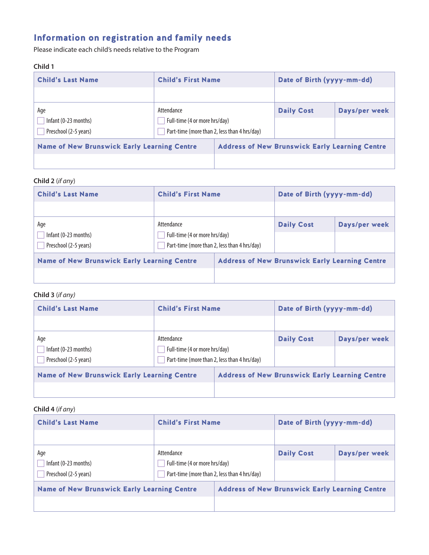# Information on registration and family needs

Please indicate each child's needs relative to the Program

### **Child 1**

| <b>Child's Last Name</b>                           | <b>Child's First Name</b>     |                                              | Date of Birth (yyyy-mm-dd)                            |               |
|----------------------------------------------------|-------------------------------|----------------------------------------------|-------------------------------------------------------|---------------|
|                                                    |                               |                                              |                                                       |               |
| Age                                                | Attendance                    |                                              | <b>Daily Cost</b>                                     | Days/per week |
| Infant (0-23 months)                               | Full-time (4 or more hrs/day) |                                              |                                                       |               |
| Preschool (2-5 years)                              |                               | Part-time (more than 2, less than 4 hrs/day) |                                                       |               |
| <b>Name of New Brunswick Early Learning Centre</b> |                               |                                              | <b>Address of New Brunswick Early Learning Centre</b> |               |
|                                                    |                               |                                              |                                                       |               |

#### **Child 2** (*if any*)

| <b>Child's Last Name</b>                             | <b>Child's First Name</b>                                                                   |                                                       | Date of Birth (yyyy-mm-dd) |               |
|------------------------------------------------------|---------------------------------------------------------------------------------------------|-------------------------------------------------------|----------------------------|---------------|
|                                                      |                                                                                             |                                                       |                            |               |
| Age<br>Infant (0-23 months)<br>Preschool (2-5 years) | Attendance<br>Full-time (4 or more hrs/day)<br>Part-time (more than 2, less than 4 hrs/day) |                                                       | <b>Daily Cost</b>          | Days/per week |
| <b>Name of New Brunswick Early Learning Centre</b>   |                                                                                             | <b>Address of New Brunswick Early Learning Centre</b> |                            |               |
|                                                      |                                                                                             |                                                       |                            |               |

### **Child 3** (*if any)*

| <b>Child's Last Name</b>                             | <b>Child's First Name</b>                   |                                              | Date of Birth (yyyy-mm-dd)                            |               |
|------------------------------------------------------|---------------------------------------------|----------------------------------------------|-------------------------------------------------------|---------------|
|                                                      |                                             |                                              |                                                       |               |
| Age<br>Infant (0-23 months)<br>Preschool (2-5 years) | Attendance<br>Full-time (4 or more hrs/day) | Part-time (more than 2, less than 4 hrs/day) | <b>Daily Cost</b>                                     | Days/per week |
| <b>Name of New Brunswick Early Learning Centre</b>   |                                             |                                              | <b>Address of New Brunswick Early Learning Centre</b> |               |

### **Child 4** (*if any*)

| <b>Child's Last Name</b>                             | <b>Child's First Name</b>                   |                                              | Date of Birth (yyyy-mm-dd)                            |               |
|------------------------------------------------------|---------------------------------------------|----------------------------------------------|-------------------------------------------------------|---------------|
|                                                      |                                             |                                              |                                                       |               |
| Age<br>Infant (0-23 months)<br>Preschool (2-5 years) | Attendance<br>Full-time (4 or more hrs/day) | Part-time (more than 2, less than 4 hrs/day) | <b>Daily Cost</b>                                     | Days/per week |
| <b>Name of New Brunswick Early Learning Centre</b>   |                                             |                                              | <b>Address of New Brunswick Early Learning Centre</b> |               |